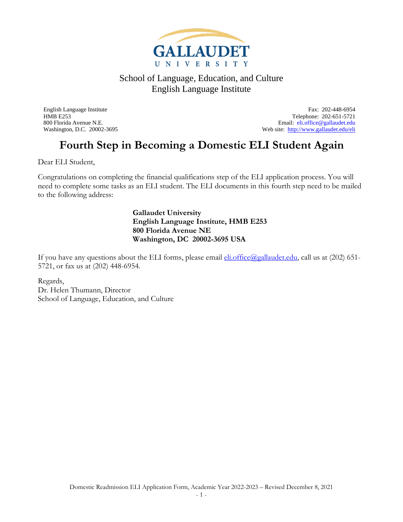

English Language Institute Fax: 202-448-6954 HMB E253 Telephone: 202-651-5721 800 Florida Avenue N.E.<br>
Web site: http://www.gallaudet.edu/eli<br>
Web site: http://www.gallaudet.edu/eli Web site: <http://www.gallaudet.edu/eli>

### **Fourth Step in Becoming a Domestic ELI Student Again**

Dear ELI Student,

Congratulations on completing the financial qualifications step of the ELI application process. You will need to complete some tasks as an ELI student. The ELI documents in this fourth step need to be mailed to the following address:

> **Gallaudet University English Language Institute, HMB E253 800 Florida Avenue NE Washington, DC 20002-3695 USA**

If you have any questions about the ELI forms, please email  $\underline{\text{eli}}.\text{office}(Qgallaudet.edu, \text{call} \text{us at } (202) \text{ 651-}$ 5721, or fax us at (202) 448-6954.

Regards, Dr. Helen Thumann, Director School of Language, Education, and Culture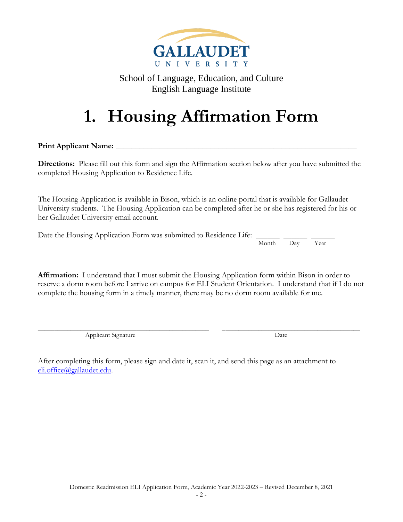

# **1. Housing Affirmation Form**

**Print Applicant Name:** \_\_\_\_\_\_\_\_\_\_\_\_\_\_\_\_\_\_\_\_\_\_\_\_\_\_\_\_\_\_\_\_\_\_\_\_\_\_\_\_\_\_\_\_\_\_\_\_\_\_\_\_\_\_\_\_\_\_\_\_\_

**Directions:** Please fill out this form and sign the Affirmation section below after you have submitted the completed Housing Application to Residence Life.

The Housing Application is available in Bison, which is an online portal that is available for Gallaudet University students. The Housing Application can be completed after he or she has registered for his or her Gallaudet University email account.

Date the Housing Application Form was submitted to Residence Life: Month Day Year

**Affirmation:** I understand that I must submit the Housing Application form within Bison in order to reserve a dorm room before I arrive on campus for ELI Student Orientation. I understand that if I do not complete the housing form in a timely manner, there may be no dorm room available for me.

\_\_\_\_\_\_\_\_\_\_\_\_\_\_\_\_\_\_\_\_\_\_\_\_\_\_\_\_\_\_\_\_\_\_\_\_\_\_\_\_\_\_\_\_\_\_\_\_\_\_\_\_ \_\_\_\_\_\_\_\_\_\_\_\_\_\_\_\_\_\_\_\_\_\_\_\_\_\_\_\_\_\_\_\_\_\_\_\_\_\_\_\_\_\_ Applicant Signature Date

After completing this form, please sign and date it, scan it, and send this page as an attachment to [eli.office@gallaudet.edu.](mailto:eli.office@gallaudet.edu)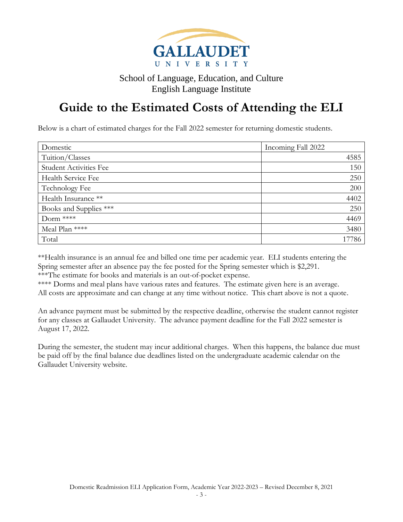

### **Guide to the Estimated Costs of Attending the ELI**

Below is a chart of estimated charges for the Fall 2022 semester for returning domestic students.

| Domestic                      | Incoming Fall 2022 |
|-------------------------------|--------------------|
| Tuition/Classes               | 4585               |
| <b>Student Activities Fee</b> | 150                |
| Health Service Fee            | 250                |
| Technology Fee                | 200                |
| Health Insurance **           | 4402               |
| Books and Supplies ***        | 250                |
| Dorm ****                     | 4469               |
| Meal Plan ****                | 3480               |
| Total                         | 17786              |

\*\*Health insurance is an annual fee and billed one time per academic year. ELI students entering the Spring semester after an absence pay the fee posted for the Spring semester which is \$2,291. \*\*\*The estimate for books and materials is an out-of-pocket expense.

\*\*\*\* Dorms and meal plans have various rates and features. The estimate given here is an average. All costs are approximate and can change at any time without notice. This chart above is not a quote.

An advance payment must be submitted by the respective deadline, otherwise the student cannot register for any classes at Gallaudet University. The advance payment deadline for the Fall 2022 semester is August 17, 2022.

During the semester, the student may incur additional charges. When this happens, the balance due must be paid off by the final balance due deadlines listed on the undergraduate academic calendar on the Gallaudet University website.